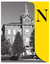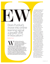

Does Purdue's move into online learning signal a greater shift<br>in education?<br>By Mark Toner

Ith all the talk about the increasing costs of higher ducation, the most sign shift in the postsecondar landscape this year may have come about for a single dollar. increasing costs of higher education, the most significant shift in the postsecondary landscape this year may

That's how much Purdue University said in April it would pay to acquire the for-profit Kaplan University, with the goal of spinning it off as an online-only entity still provisionally known only as "New U." Purdue followed that announcement with plans to provide online job training to as many as 10,000 U.S. employees that Indian technology outsourcing giant Infosys intends to hire in the United States over the next few years.

The Indiana university's moves — specifically the acquisition of a for-profit provider by a public institution — have not been without controversy; at press time the acquisition was still awaiting approval by Purdue's accreditor. Purdue President Mitch Daniels, who is the former governor of Indiana, has repeatedly called these efforts natural extensions of the public research university's mission, akin to past shifts such as creating satellite campuses to reach non-residential students.

"It's correct to look at all these activities together in terms of the modernization of the land-grant mission," says Daniels. "We see that as not only consistent with our historic mission, but also a necessary component of it in this era."

It's also clear they represent a dramatic effort to leverage online learning to reach an audience untapped by most traditional fouryear institutions: the 36 million working adults with some college and the 56 million with no college credit who are primarily seeking career credentials, advancement or ongoing learning opportunities.

Purdue's actions, and the less dramatic but equally significant shifts toward online and careerfocused programs at institutions across the country, come at a time when the public and policymakers are pressuring higher education to look beyond four-year degrees. Meanwhile, the for-profit sector is undergoing its own seismic shifts. Daniels calls these trends "an opportunity and a duty."

These developments represent "the next stage and maturation of online education," says Trace Urdan, a managing director at Tyton Partners, who has followed the sector for two decades. In turn, online education will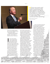**"Since we want and<br>peed to preserve the** best system of higher education in the world, we need our institutions to find the way forward in new ways that continue that standing."

Mitch Daniels, President, Purdue University

**FLICKR/BROOKINGS INSTITUTION** 

become an increasingly important part of serving a changing population of postsecondary students.

"Being adept at digital education as it quickly evolves is going to be important — if not necessary — at institutions like ours," Daniels says.

In some circles, Purdue's<br>actions are being touted as<br>a game-changing strategic<br>shift that higher education<br>institutions simply must make to n some circles, Purdue's actions are being touted as a game-changing strategic shift that higher education remain relevant and sustainable. And indeed, many colleges and universities are moving in similar directions. A recent survey by online education management company 2U Inc. found 9 out of 10 deans anticipate growth in their online offerings.

In other circles, the reactions have been less enthusiastic. On Twitter, the Century Foundation's Bob Shireman famously likened the acquisition to the horror movie Get Out, "with Kaplan's predatory brain transplanted into a Purdue

body." Purdue's announcements have raised a range of questions both inside and outside the academy, including ones involving faculty, quality, corporate influence, and the financing and ultimate sustainability of higher education institutions.

But stepping back to look at the Purdue-Kaplan acquisition reveals familiar pressures, and a larger-scale approach to strategies that other institutions have attempted. For example, both Arizona State University and the University of Southern California nonprofit institutions - have worked with for-profit providers to develop and deliver online programs. In similar fashion, the Purdue-Kaplan acquisition creates a new nonprofit online institution, with the remaining for-profit part of Kaplan serving as a traditional online program management (OPM) provider. Aside from its ownership structure, the acquisition in many ways reflects the typical "buy vs. build" decision that other institutions face when they deliberate the expansion of their online offerings, according to Urdan.

"There's a lot of blurring of the lines between for-profits and nonprofits," says Paul LeBlanc, president of Southern New Hampshire University (SNHU), a nonprofit institution that has been a leader in developing online programs. "One narrative is that notfor-profits are taking the online space back. A more nuanced read is that nonprofit higher education is taking more ownership of the online space with the help of online players."

That's in large part due to shifts in the for-profit sector, which has been driven in part to seek partnerships with nonprofit institutions after the beating it has taken in recent years.

"Speaking broadly, the for-profit brand has been severely damaged over the last eight to nine years," says Urdan.

Encouraged by the perception that the Trump Administration will be more flexible than its predecessor, for-profits also are attempting to strengthen their positions wherever possible. The University of Phoenix's parent company went private to insulate itself from quarterly earnings pressure, and Strayer and Capella announced plans to merge in October.

"We're going to see lots of similar dramatic transactions," Urdan predicts. "Probably every single one of them is going to look a bit different."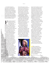For traditional institutions, that represents a challenge and an opportunity, according to Brian C. Mitchell, the former president of Bucknell University and Washington and Jefferson College. "We shouldn't be afraid of investigating the kinds of approaches that Daniels is doing but we should be very clear-headed, focused, programmatic and businessminded," he says. "We don't have the luxury of spending 20 to 30 years on the peaks and valleys of failures."

or traditional institutions,<br>
reaching new kinds of<br>
students has been a driver<br>
for expanding online<br>
offerings — and for good reason, says reaching new kinds of students has been a driver for expanding online Mitchell, now a higher education advisor and director of the Edvance Foundation. "We cannot continue doing programmatically and financially what we're doing," he says. "How does technology fit into the overall financing of higher education?"

Typically, traditional institutions have started with online graduate programs to test the waters and avoid pushback from alumni who still often see online degrees as diluting the value of their own diplomas. But now, Urdan says, "a broader range of institutions are comfortable with and interested in providing online education, and not just in a rarified way to a small set of graduate students, but [focusing on] undergraduate degree completion and working adult education."

That latter trend is pushing traditional four-year institutions into the workforce development arena that community colleges and for-profit providers have traditionally dominated. (Infosys, for example, has tapped both Purdue and North Carolina's community college system to provide workforce training as it prepares to hire greater numbers of U.S. workers.)

With growth in demand for postsecondary credentials, "a lot of the training needs are moving upstream," says Martin Van Der Werf, associate director of editorial and postsecondary policy at Georgetown University's Center on Education and the Workforce. Indeed, nearly half of respondents to the 2U survey said non-traditional online offerings — including both graduate and certificate programs — offer the greatest opportunities for growth.

To that end, Purdue's New U will initially focus "on the enhancement of career skills" and closely monitor job placement metrics, according to Daniels. And SNHU now is building a master's program catering to the specific needs of teachers employed by for-profit K12 Inc.

"Any time any entity says, 'we want your help improving,' that's what we look for," LeBlanc says.

Rising costs, non-traditional students and the ongoing policy push for postsecondary credentials are all contributing to the growing focus on adult education. In speeches this fall, U.S. Education Secretary Betsy DeVos called for a "major shift" in higher education, pointing to the need for more workforce training programs.

"We need to stop forcing kids into believing a traditional four-year



degree is the only pathway to success," DeVos said at a meeting focused on apprenticeship at the White House in November. (Thus far, the Trump Administration appears to mirror its predecessor in its support for two-year degrees and postsecondary workplace certificates and credentials as much as it diverges from the Obama-era focus on regulating for-profit institutions. Republicans were introducing legislation to reauthorize the Higher Education Act at press time.)

While these pressures place greater emphasis on career-focused offerings, it's important for traditional institutions to recognize their strengths and weaknesses, experts say.

"The growth and existence of the [workforce development] market happened to some extent because colleges and universities were somewhat ossified," Urdan says.

It's important to avoid diluting the mission, adds Susan Metros, a senior fellow with the Center for Digital Education (CDE). "Community colleges have been doing that type of education for a long time — they have faculty who are professionals, programs, partnerships and internships," she says. "For a more traditional institution, I understand where you might see it as a way to increase your bottom line, but I don't think you're necessarily going to be that good at it."

At the same time, traditional colleges and universities long have had career placement and internship

**"** We need to stop forcing kids into believing a traditional fouryear degree is the only pathway to success."

Betsy DeVos, U.S. Education Secretary